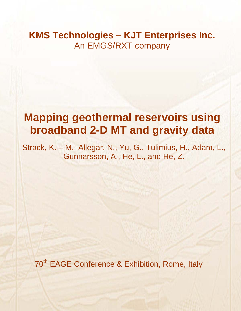# **KMS Technologies – KJT Enterprises Inc.**  An EMGS/RXT company

# **Mapping geothermal reservoirs using broadband 2-D MT and gravity data**

Strack, K. – M., Allegar, N., Yu, G., Tulimius, H., Adam, L., Gunnarsson, A., He, L., and He, Z.

70<sup>th</sup> EAGE Conference & Exhibition, Rome, Italy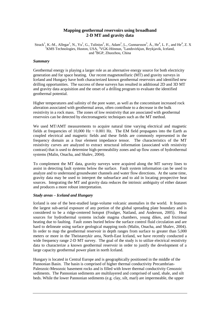# **Mapping geothermal reservoirs using broadband 2-D MT and gravity data**

Strack<sup>1</sup>, K.-M., Allegar<sup>1</sup>, N., Yu<sup>1</sup>, G., Tulinius<sup>2</sup>, H., Adam<sup>2</sup>, L., Gunnarsson<sup>3</sup>, Á., He<sup>4</sup>, L. F., and He<sup>4</sup>, Z. X <sup>1</sup>KMS Technologies, Huston, USA, <sup>2</sup>VGK-Hönnun, <sup>3</sup>Landsvirkjun, Reykjavik, Iceland, and <sup>4</sup>BGP, Zhuozhou, China

#### *Summary*

Geothermal energy is playing a larger role as an alternative energy source for both electricity generation and for space heating. Our recent magnetotelluric (MT) and gravity surveys in Iceland and Hungary have both characterized known geothermal reservoirs and identified new drilling opportunities. The success of these surveys has resulted in additional 2D and 3D MT and gravity data acquisition and the onset of a drilling program to evaluate the identified geothermal potential.

Higher temperatures and salinity of the pore water, as well as the concomitant increased rock alteration associated with geothermal areas, often contribute to a decrease in the bulk resistivity in a rock mass. The zones of low resistivity that are associated with geothermal reservoirs can be detected by electromagnetic techniques such as the MT method.

We used MT/AMT measurements to acquire natural time varying electrical and magnetic fields at frequencies of 10,000 Hz  $\sim$  0.001 Hz. The EM field propagates into the Earth as coupled electrical and magnetic fields and these fields are commonly represented in the frequency domain as a four element impedance tensor. The characteristics of the MT resistivity curves are analyzed to extract structural information (associated with resistivity contrast) that is used to determine high-permeability zones and up flow zones of hydrothermal systems (Malin, Onacha, and Shalev, 2004).

To complement the MT data, gravity surveys were acquired along the MT survey lines to assist in detecting fault systems below the surface. Fault system information can be used to analyze and to understand groundwater channels and water flow directions. At the same time, gravity data may be used to interpret the subsurface and to aid in locating prospective heat sources. Integrating the MT and gravity data reduces the intrinsic ambiguity of either dataset and produces a more robust interpretation.

#### *Study areas – Iceland and Hungary*

Iceland is one of the best-studied large-volume volcanic anomalies in the world. It features the largest sub-aerial exposure of any portion of the global spreading plate boundary and is considered to be a ridge-centered hotspot (Foulger, Natland, and Anderson, 2005). Heat sources for hydrothermal systems include magma chambers, young dikes, and frictional heating due to faulting. Fault zones buried below the surface control fluid circulation and are hard to delineate using surface geological mapping tools (Malin, Onacha, and Shalev, 2004). In order to map the geothermal reservoir in depth ranges from surface to greater than 5,000 meters or more in the Theistareykir area, North-East Iceland, we have recently conducted a wide frequency range 2-D MT survey. The goal of the study is to utilize electrical resistivity data to characterize a known geothermal reservoir in order to justify the development of a large capacity geothermal power plant in north Iceland.

Hungary is located in Central Europe and is geographically positioned in the middle of the Pannonian Basin. The basin is comprised of higher thermal conductivity Precambrian-Paleozoic-Mesozoic basement rocks and is filled with lower thermal conductivity Cenozoic sediments. The Pannonian sediments are multilayered and comprised of sand, shale, and silt beds. While the lower Pannonian sediments (e.g. clay, silt, marl) are impermeable, the upper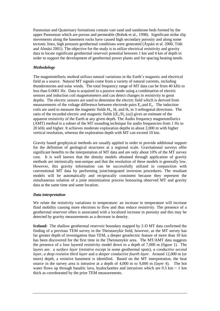Pannonian and Quaternary formations contain vast sand and sandstone beds formed by the upper Pannonian which are porous and permeable (Bobok et al., 1998). Significant strike slip movements along the basement rocks have caused high secondary porosity and along some tectonic lines, high pressure geothermal conditions were generated (Árpási et al. 2000, Tóth and Almási 2001). The objective for the study is to utilize electrical resistivity and gravity data to locate significant geothermal reservoir potential between 1 km and 4 km of depth in order to support the development of geothermal power plants and for spacing heating needs.

# *Methodology*

The magnetotelluric method utilizes natural variations in the Earth's magnetic and electrical field as a source. Natural MT signals come from a variety of natural currents, including thunderstorms and solar winds. The total frequency range of MT data can be from 40 kHz to less than 0.0001 Hz. Data is acquired in a passive mode using a combination of electric sensors and induction coil magnetometers and can detect changes in resistivity to great depths. The electric sensors are used to determine the electric field which is derived from measurements of the voltage difference between electrode pairs  $E_x$  and  $E_y$ . The induction coils are used to measure the magnetic fields  $H_x$ ,  $H_y$  and  $H_z$  in 3 orthogonal directions. The ratio of the recorded electric and magnetic fields  $[(E_x/H_y(\omega))]$  gives an estimate of the apparent resistivity of the Earth at any given depth. The Audio frequency magnetotellurics (AMT) method is a subset of the MT sounding technique for audio frequencies from 1 Hz to 20 kHz and higher. It achieves moderate exploration depths to about 2,000 m with higher vertical resolution, whereas the exploration depth with MT can exceed 10 km.

Gravity based geophysical methods are usually applied in order to provide additional support for the definition of geological structures at a regional scale. Gravitational surveys offer significant benefits to the interpretation of MT data and are only about 10% of the MT survey cost. It is well known that the density models obtained through application of gravity methods are intrinsically non-unique and that the resolution of these models is generally low. However, this gravity information can be successfully utilized in conjunction with conventional MT data by performing joint/integrated inversion procedures. The resultant models will be automatically and reciprocally consistent because they represent the simultaneous solution of a joint minimization process honouring observed MT and gravity data at the same time and same location.

### *Data interpretation*

We relate the resistivity variations to temperature: an increase in temperature will increase fluid mobility causing more electrons to flow and thus reduce resistivity. The presence of a geothermal reservoir often is associated with a localized increase in porosity and this may be detected by gravity measurements as a decrease in density.

**Iceland:** The shallow geothermal reservoir boundary mapped by 2-D MT data confirmed the finding of a previous TEM survey in the Theistareykir field, however, as the MT survey has far greater depth of investigation than TEM, a deeper geoelectric feature of more than 10 km has been discovered for the first time in the Theistareykir area. The MT/AMT data suggests the presence of a four layered resistivity model down to a depth of 7,000 m (figure 1). The layers are: *a surface layer* (resistive except in some geothermal spots), *a conductive second layer*, *a deep resistive third layer* and *a deeper conductive fourth layer*. Around 12,000 m (or more) depth, a resistive basement is identified. Based on the MT interpretation, the heat source in the survey area is intrusive at a depth of 4,000 m to 9,000 m (layer 4). The hot water flows up through basaltic lava, hyaloclastites and intrusives which are  $0.5 \text{ km} \sim 1 \text{ km}$ thick as corroborated by the prior TEM measurements.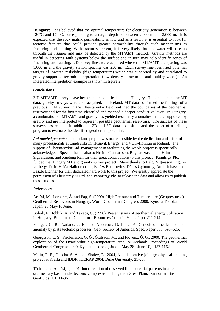**Hungary:** It is believed that the optimal temperature for electricity generation is between 120°C and 170°C, corresponding to a target depth of between 2,000 m and 3,000 m. It is expected that the rock matrix permeability is low and as a result, it is essential to look for tectonic features that could provide greater permeability through such mechanisms as fracturing and faulting. With fractures present, it is very likely that hot water will rise up through the fissures and may be detected by the MT/AMT method. Gravity methods are useful in detecting fault systems below the surface and in turn may help identify zones of fracturing and faulting. 2D survey lines were acquired where the MT/AMT site spacing was 1,000 m and the gravity station spacing was 250 m. Each survey line identified potential targets of lowered resistivity (high temperature) which was supported by and correlated to gravity supported tectonic interpretation (low density - fracturing and faulting zones). An integrated interpretation example is shown in figure 2.

# *Conclusions*

2-D MT/AMT surveys have been conducted in Iceland and Hungary. To complement the MT data, gravity surveys were also acquired. In Iceland, MT data confirmed the findings of a previous TEM survey in the Theistareykir field, outlined the boundaries of the geothermal reservoir and for the first time identified and mapped a deeper conductive layer. In Hungary, a combination of MT/AMT and gravity has yielded resistivity anomalies that are supported by gravity and are interpreted to represent possible geothermal reservoirs. The success of these surveys has resulted in additional 2D and 3D data acquisition and the onset of a drilling program to evaluate the identified geothermal potential.

*Acknowledgements:* The Iceland project was made possible by the dedication and effort of many professionals at Landsvirkjun, Husavik Energy, and VGK-Hönnun in Iceland. The support of Theistareykir Ltd. management in facilitating the whole project is specifically acknowledged. Special thanks also to Hreinn Gunnarsson, Ragnar Þrastarson, Hilmar Sigvaldason, and Xuefeng Ran for their great contributions to this project. PannErgy Plc. funded the Hungary MT and gravity survey project. Many thanks to Helgi Vignisson, Ingunn Þorbergsdóttir, Heiða Halldórsdóttir, Balázs Bokorovics, Dénes Gyimóthy, Attila Juhász and László Lichner for their dedicated hard work to this project. We greatly appreciate the permission of Theistareykir Ltd. and PannErgy Plc. to release the data and allow us to publish these studies.

# *References*

Árpási, M., Lorberer, Á. and Pap, S. (2000). High Pressure and Temperature (Geopressured) Geothermal Reservoirs in Hungary. World Geothermal Congress 2000, Kyushu-Tohoku, Japan, 28 May-10 June.

Bobok, E., Jobbik, A. and Takács, G. (1998). Present stauts of geothermal energy utilization in Hungary. Bulletins of Geothermal Resources Council. Vol. 22, pp. 211-214.

Foulger, G. R., Natland, J. H., and Anderson, D. L., 2005, Genesis of the Iceland melt anomaly by plate tectonic processes: Geo. Society of America, Spec. Paper 388, 595–625.

Georgsson, L. S., Fridleifsson, G. Ó., Ólafsson, M., and Flóvenz, Ó. G., 2000, The geothermal exploration of the Öxarfjördur high-temperature area, NE-Iceland: Proceedings of World Geothermal Congress 2000, Kyushu - Tohoku, Japan, May 28 - June 10, 1157-1162.

Malin, P. E., Onacha, S. A., and Shalev, E., 2004, A collaborative joint geophysical imaging project at Krafla and IDDP: ICEKAP 2004, Duke University, 21-26.

Tóth, J. and Almási, I., 2001, Interpretation of observed fluid potential patterns in a deep sedimentary basin under tectonic compression: Hungarian Great Plain, Pannonian Basin, Geofluids, 1.1, 11-36.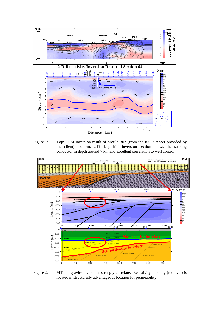

Figure 1: Top: TEM inversion result of profile 307 (from the ISOR report provided by the client); bottom: 2-D deep MT inversion section shows the striking conductor in depth around 7 km and excellent correlation to well control



Figure 2: MT and gravity inversions strongly correlate. Resistivity anomaly (red oval) is located in structurally advantageous location for permeability.